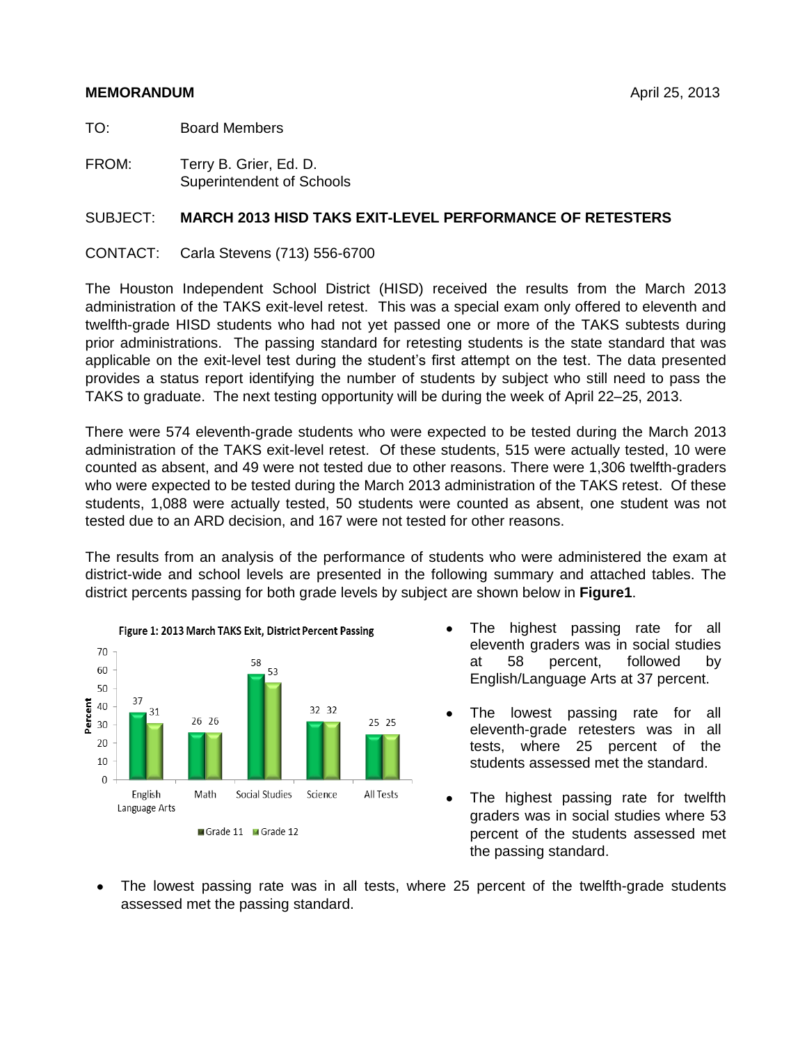### **MEMORANDUM** April 25, 2013

TO: Board Members

FROM: Terry B. Grier, Ed. D. Superintendent of Schools

## SUBJECT: **MARCH 2013 HISD TAKS EXIT-LEVEL PERFORMANCE OF RETESTERS**

CONTACT: Carla Stevens (713) 556-6700

The Houston Independent School District (HISD) received the results from the March 2013 administration of the TAKS exit-level retest. This was a special exam only offered to eleventh and twelfth-grade HISD students who had not yet passed one or more of the TAKS subtests during prior administrations. The passing standard for retesting students is the state standard that was applicable on the exit-level test during the student's first attempt on the test. The data presented provides a status report identifying the number of students by subject who still need to pass the TAKS to graduate. The next testing opportunity will be during the week of April 22–25, 2013.

There were 574 eleventh-grade students who were expected to be tested during the March 2013 administration of the TAKS exit-level retest. Of these students, 515 were actually tested, 10 were counted as absent, and 49 were not tested due to other reasons. There were 1,306 twelfth-graders who were expected to be tested during the March 2013 administration of the TAKS retest. Of these students, 1,088 were actually tested, 50 students were counted as absent, one student was not tested due to an ARD decision, and 167 were not tested for other reasons.

The results from an analysis of the performance of students who were administered the exam at district-wide and school levels are presented in the following summary and attached tables. The district percents passing for both grade levels by subject are shown below in **Figure1**.



- The highest passing rate for all eleventh graders was in social studies at 58 percent, followed by English/Language Arts at 37 percent.
- The lowest passing rate for all  $\bullet$ eleventh-grade retesters was in all tests, where 25 percent of the students assessed met the standard.
- The highest passing rate for twelfth  $\bullet$ graders was in social studies where 53 percent of the students assessed met the passing standard.
- The lowest passing rate was in all tests, where 25 percent of the twelfth-grade students assessed met the passing standard.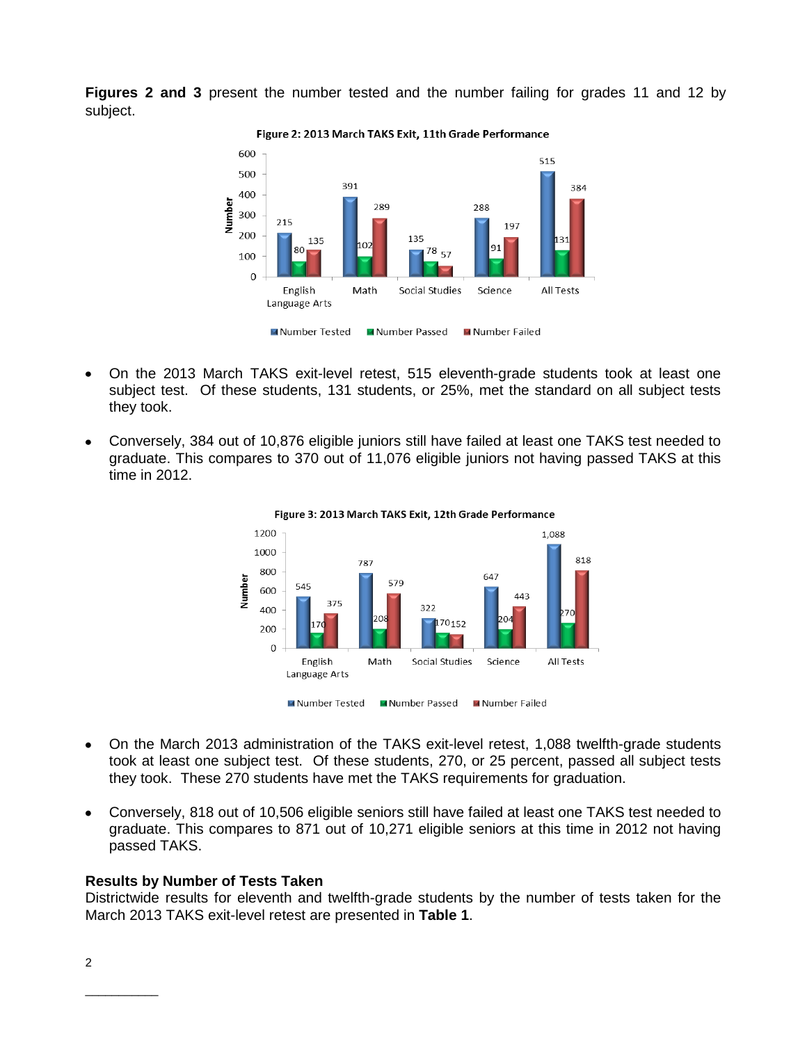**Figures 2 and 3** present the number tested and the number failing for grades 11 and 12 by subject.



Figure 2: 2013 March TAKS Exit, 11th Grade Performance

- On the 2013 March TAKS exit-level retest, 515 eleventh-grade students took at least one subject test. Of these students, 131 students, or 25%, met the standard on all subject tests they took.
- Conversely, 384 out of 10,876 eligible juniors still have failed at least one TAKS test needed to graduate. This compares to 370 out of 11,076 eligible juniors not having passed TAKS at this time in 2012.





- On the March 2013 administration of the TAKS exit-level retest, 1,088 twelfth-grade students  $\bullet$ took at least one subject test. Of these students, 270, or 25 percent, passed all subject tests they took. These 270 students have met the TAKS requirements for graduation.
- Conversely, 818 out of 10,506 eligible seniors still have failed at least one TAKS test needed to graduate. This compares to 871 out of 10,271 eligible seniors at this time in 2012 not having passed TAKS.

## **Results by Number of Tests Taken**

Districtwide results for eleventh and twelfth-grade students by the number of tests taken for the March 2013 TAKS exit-level retest are presented in **Table 1**.

\_\_\_\_\_\_\_\_\_\_\_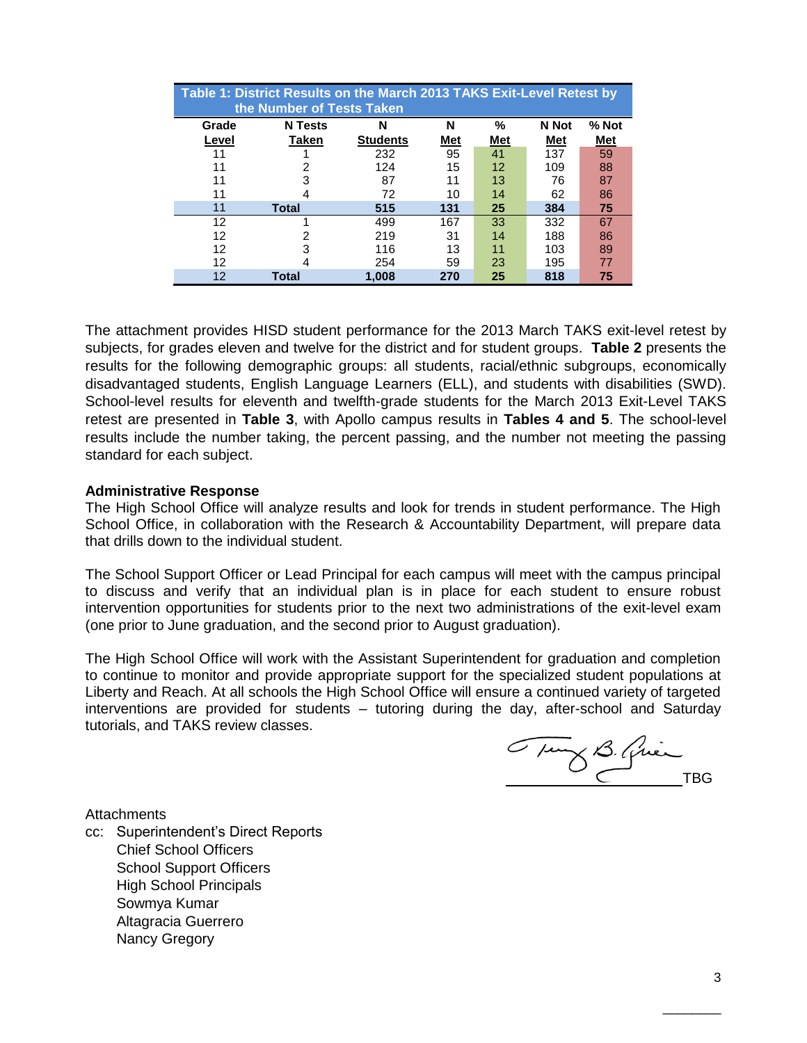|       | Table 1: District Results on the March 2013 TAKS Exit-Level Retest by<br>the Number of Tests Taken |                 |            |                   |            |            |  |  |  |  |  |  |  |  |
|-------|----------------------------------------------------------------------------------------------------|-----------------|------------|-------------------|------------|------------|--|--|--|--|--|--|--|--|
| Grade | <b>N</b> Tests                                                                                     | N               | N          | %                 | N Not      | % Not      |  |  |  |  |  |  |  |  |
| Level | Taken                                                                                              | <b>Students</b> | <u>Met</u> | <u>Met</u>        | <u>Met</u> | <b>Met</b> |  |  |  |  |  |  |  |  |
| 11    |                                                                                                    | 232             | 95         | 41                | 137        | 59         |  |  |  |  |  |  |  |  |
| 11    |                                                                                                    | 124             | 15         | $12 \overline{ }$ | 109        | 88         |  |  |  |  |  |  |  |  |
| 11    | з                                                                                                  | 87              | 11         | 13                | 76         | 87         |  |  |  |  |  |  |  |  |
| 11    | 4                                                                                                  | 72              | 10         | 14                | 62         | 86         |  |  |  |  |  |  |  |  |
| 11    | <b>Total</b>                                                                                       | 515             | 131        | 25                | 384        | 75         |  |  |  |  |  |  |  |  |
| 12    |                                                                                                    | 499             | 167        | 33                | 332        | 67         |  |  |  |  |  |  |  |  |
| 12    |                                                                                                    | 219             | 31         | 14                | 188        | 86         |  |  |  |  |  |  |  |  |
| 12    | з                                                                                                  | 116             | 13         | 11                | 103        | 89         |  |  |  |  |  |  |  |  |
| 12    |                                                                                                    | 254             | 59         | 23                | 195        | 77         |  |  |  |  |  |  |  |  |
| 12    | Total                                                                                              | 1.008           | 270        | 25                | 818        | 75         |  |  |  |  |  |  |  |  |

The attachment provides HISD student performance for the 2013 March TAKS exit-level retest by subjects, for grades eleven and twelve for the district and for student groups. **Table 2** presents the results for the following demographic groups: all students, racial/ethnic subgroups, economically disadvantaged students, English Language Learners (ELL), and students with disabilities (SWD). School-level results for eleventh and twelfth-grade students for the March 2013 Exit-Level TAKS retest are presented in **Table 3**, with Apollo campus results in **Tables 4 and 5**. The school-level results include the number taking, the percent passing, and the number not meeting the passing standard for each subject.

#### **Administrative Response**

The High School Office will analyze results and look for trends in student performance. The High School Office, in collaboration with the Research & Accountability Department, will prepare data that drills down to the individual student.

The School Support Officer or Lead Principal for each campus will meet with the campus principal to discuss and verify that an individual plan is in place for each student to ensure robust intervention opportunities for students prior to the next two administrations of the exit-level exam (one prior to June graduation, and the second prior to August graduation).

The High School Office will work with the Assistant Superintendent for graduation and completion to continue to monitor and provide appropriate support for the specialized student populations at Liberty and Reach. At all schools the High School Office will ensure a continued variety of targeted interventions are provided for students – tutoring during the day, after-school and Saturday tutorials, and TAKS review classes.

Tung B. Quinca

**Attachments** 

cc: Superintendent's Direct Reports Chief School Officers School Support Officers High School Principals Sowmya Kumar Altagracia Guerrero Nancy Gregory

 $\overline{\phantom{a}}$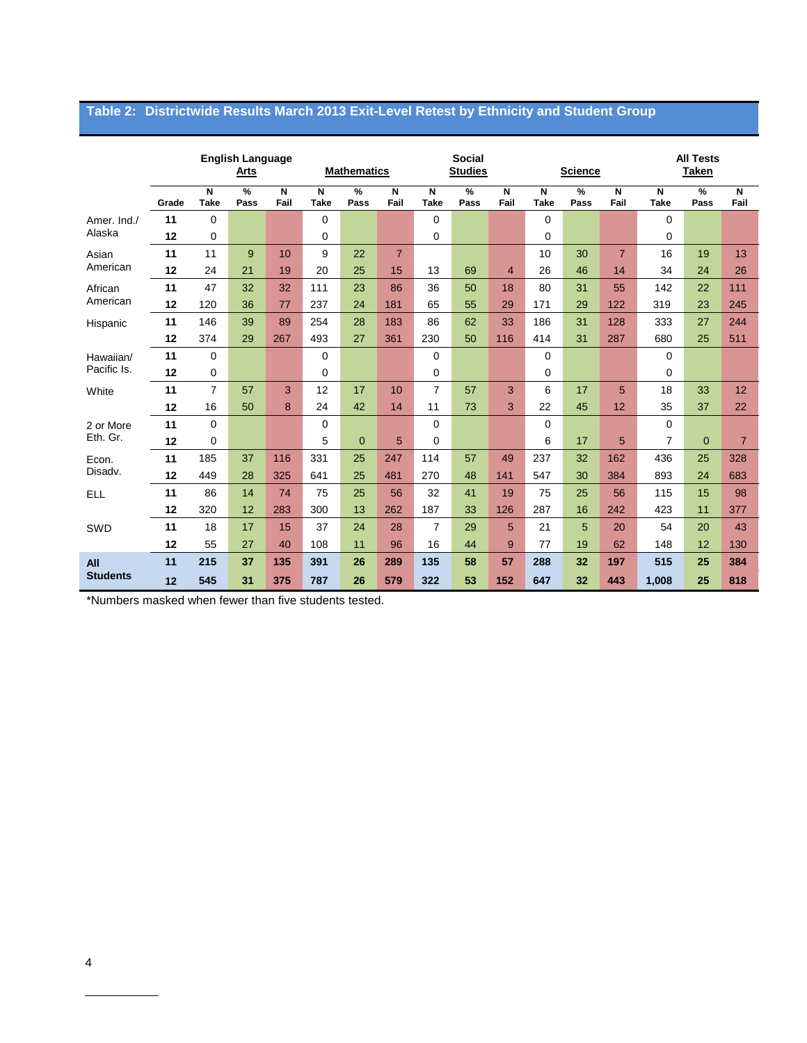# **Table 2: Districtwide Results March 2013 Exit-Level Retest by Ethnicity and Student Group**

|                 |       |                  | <b>English Language</b><br><b>Arts</b> |           |                                        | <b>Mathematics</b> |                | <b>Social</b><br><b>Studies</b> |           |                |                  | <b>Science</b> |                | <b>All Tests</b><br><b>Taken</b> |              |                        |
|-----------------|-------|------------------|----------------------------------------|-----------|----------------------------------------|--------------------|----------------|---------------------------------|-----------|----------------|------------------|----------------|----------------|----------------------------------|--------------|------------------------|
|                 | Grade | N<br><b>Take</b> | %<br>Pass                              | N<br>Fail | $\overline{\mathsf{N}}$<br><b>Take</b> | %<br>Pass          | N<br>Fail      | N<br><b>Take</b>                | %<br>Pass | N<br>Fail      | N<br><b>Take</b> | %<br>Pass      | N<br>Fail      | N<br><b>Take</b>                 | %<br>Pass    | $\overline{N}$<br>Fail |
| Amer. Ind./     | 11    | 0                |                                        |           | 0                                      |                    |                | $\Omega$                        |           |                | $\Omega$         |                |                | $\Omega$                         |              |                        |
| Alaska          | 12    | 0                |                                        |           | 0                                      |                    |                | 0                               |           |                | 0                |                |                | $\mathbf 0$                      |              |                        |
| Asian           | 11    | 11               | 9                                      | 10        | 9                                      | 22                 | $\overline{7}$ |                                 |           |                | 10               | 30             | $\overline{7}$ | 16                               | 19           | 13                     |
| American        | 12    | 24               | 21                                     | 19        | 20                                     | 25                 | 15             | 13                              | 69        | $\overline{4}$ | 26               | 46             | 14             | 34                               | 24           | 26                     |
| African         | 11    | 47               | 32                                     | 32        | 111                                    | 23                 | 86             | 36                              | 50        | 18             | 80               | 31             | 55             | 142                              | 22           | 111                    |
| American        | 12    | 120              | 36                                     | 77        | 237                                    | 24                 | 181            | 65                              | 55        | 29             | 171              | 29             | 122            | 319                              | 23           | 245                    |
| Hispanic        | 11    | 146              | 39                                     | 89        | 254                                    | 28                 | 183            | 86                              | 62        | 33             | 186              | 31             | 128            | 333                              | 27           | 244                    |
|                 | 12    | 374              | 29                                     | 267       | 493                                    | 27                 | 361            | 230                             | 50        | 116            | 414              | 31             | 287            | 680                              | 25           | 511                    |
| Hawaiian/       | 11    | 0                |                                        |           | $\mathbf 0$                            |                    |                | $\Omega$                        |           |                | $\Omega$         |                |                | $\mathbf 0$                      |              |                        |
| Pacific Is.     | 12    | 0                |                                        |           | 0                                      |                    |                | 0                               |           |                | $\mathbf 0$      |                |                | $\mathbf 0$                      |              |                        |
| White           | 11    | $\overline{7}$   | 57                                     | 3         | 12                                     | 17                 | 10             | $\overline{7}$                  | 57        | 3              | 6                | 17             | 5              | 18                               | 33           | 12                     |
|                 | 12    | 16               | 50                                     | 8         | 24                                     | 42                 | 14             | 11                              | 73        | 3              | 22               | 45             | 12             | 35                               | 37           | 22                     |
| 2 or More       | 11    | 0                |                                        |           | $\mathbf 0$                            |                    |                | $\Omega$                        |           |                | $\Omega$         |                |                | $\Omega$                         |              |                        |
| Eth. Gr.        | 12    | 0                |                                        |           | 5                                      | $\overline{0}$     | 5              | 0                               |           |                | 6                | 17             | 5              | $\overline{7}$                   | $\mathbf{0}$ | $\overline{7}$         |
| Econ.           | 11    | 185              | 37                                     | 116       | 331                                    | 25                 | 247            | 114                             | 57        | 49             | 237              | 32             | 162            | 436                              | 25           | 328                    |
| Disadv.         | 12    | 449              | 28                                     | 325       | 641                                    | 25                 | 481            | 270                             | 48        | 141            | 547              | 30             | 384            | 893                              | 24           | 683                    |
| <b>ELL</b>      | 11    | 86               | 14                                     | 74        | 75                                     | 25                 | 56             | 32                              | 41        | 19             | 75               | 25             | 56             | 115                              | 15           | 98                     |
|                 | 12    | 320              | 12                                     | 283       | 300                                    | 13                 | 262            | 187                             | 33        | 126            | 287              | 16             | 242            | 423                              | 11           | 377                    |
| SWD             | 11    | 18               | 17                                     | 15        | 37                                     | 24                 | 28             | 7                               | 29        | 5              | 21               | 5              | 20             | 54                               | 20           | 43                     |
|                 | 12    | 55               | 27                                     | 40        | 108                                    | 11                 | 96             | 16                              | 44        | 9              | 77               | 19             | 62             | 148                              | 12           | 130                    |
| All             | 11    | 215              | 37                                     | 135       | 391                                    | 26                 | 289            | 135                             | 58        | 57             | 288              | 32             | 197            | 515                              | 25           | 384                    |
| <b>Students</b> | 12    | 545              | 31                                     | 375       | 787                                    | 26                 | 579            | 322                             | 53        | 152            | 647              | 32             | 443            | 1,008                            | 25           | 818                    |

\*Numbers masked when fewer than five students tested.

\_\_\_\_\_\_\_\_\_\_\_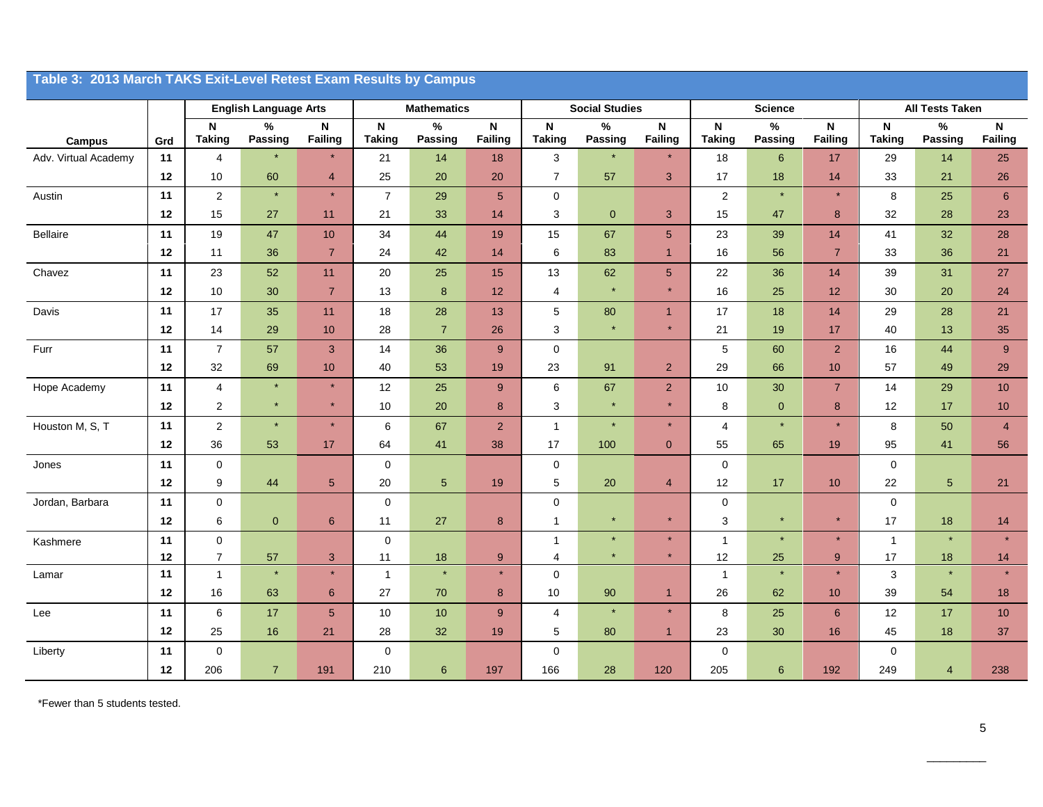|                      | Table 3: 2013 March TAKS Exit-Level Retest Exam Results by Campus |                                |                              |                                      |                                            |                        |                         |                              |                       |                                      |                                            |                 |                     |                                            |                         |                      |
|----------------------|-------------------------------------------------------------------|--------------------------------|------------------------------|--------------------------------------|--------------------------------------------|------------------------|-------------------------|------------------------------|-----------------------|--------------------------------------|--------------------------------------------|-----------------|---------------------|--------------------------------------------|-------------------------|----------------------|
|                      |                                                                   |                                | <b>English Language Arts</b> |                                      |                                            | <b>Mathematics</b>     |                         |                              | <b>Social Studies</b> |                                      |                                            | <b>Science</b>  |                     |                                            | <b>All Tests Taken</b>  |                      |
| <b>Campus</b>        | Grd                                                               | N<br><b>Taking</b>             | $\%$<br>Passing              | $\boldsymbol{\mathsf{N}}$<br>Failing | $\boldsymbol{\mathsf{N}}$<br><b>Taking</b> | $\%$<br><b>Passing</b> | $\mathsf{N}$<br>Failing | $\mathsf N$<br><b>Taking</b> | $\%$<br>Passing       | $\boldsymbol{\mathsf{N}}$<br>Failing | $\boldsymbol{\mathsf{N}}$<br><b>Taking</b> | $\%$<br>Passing | N<br><b>Failing</b> | $\boldsymbol{\mathsf{N}}$<br><b>Taking</b> | $\%$<br>Passing         | ${\sf N}$<br>Failing |
| Adv. Virtual Academy | 11                                                                | $\overline{\mathbf{4}}$        | $\star$                      | $\star$                              | 21                                         | 14                     | 18                      | 3                            |                       | $\star$                              | 18                                         | $6\phantom{1}6$ | 17                  | 29                                         | 14                      | 25                   |
|                      | 12                                                                | $10$                           | 60                           | $\overline{\mathbf{4}}$              | 25                                         | 20                     | 20                      | $\overline{7}$               | 57                    | $\sqrt{3}$                           | 17                                         | 18              | 14                  | 33                                         | 21                      | 26                   |
| Austin               | 11                                                                | $\sqrt{2}$                     | $\star$                      | $\star$                              | $\overline{7}$                             | 29                     | 5                       | $\pmb{0}$                    |                       |                                      | $\sqrt{2}$                                 | $\star$         | $\star$             | 8                                          | 25                      | $\boldsymbol{6}$     |
|                      | 12                                                                | 15                             | 27                           | 11                                   | 21                                         | 33                     | 14                      | 3                            | $\overline{0}$        | 3                                    | 15                                         | 47              | 8                   | 32                                         | 28                      | 23                   |
| Bellaire             | 11                                                                | 19                             | 47                           | $10$                                 | 34                                         | 44                     | 19                      | 15                           | 67                    | 5                                    | 23                                         | 39              | 14                  | 41                                         | 32                      | 28                   |
|                      | 12                                                                | 11                             | 36                           | $\overline{7}$                       | 24                                         | 42                     | 14                      | $\,6$                        | 83                    | $\overline{1}$                       | $16\,$                                     | 56              | $\overline{7}$      | 33                                         | 36                      | 21                   |
| Chavez               | 11                                                                | 23                             | 52                           | 11                                   | 20                                         | 25                     | 15                      | 13                           | 62                    | 5 <sup>5</sup>                       | 22                                         | 36              | 14                  | 39                                         | 31                      | 27                   |
|                      | 12                                                                | $10$                           | 30                           | $\overline{7}$                       | 13                                         | $\bf 8$                | 12                      | $\overline{4}$               |                       | $\star$                              | 16                                         | 25              | 12                  | 30                                         | 20                      | 24                   |
| Davis                | 11                                                                | 17                             | 35                           | 11                                   | 18                                         | 28                     | 13                      | 5                            | 80                    | $\mathbf{1}$                         | 17                                         | 18              | 14                  | 29                                         | 28                      | 21                   |
|                      | 12                                                                | 14                             | 29                           | 10                                   | 28                                         | $\overline{7}$         | 26                      | 3                            |                       | $\star$                              | 21                                         | 19              | 17                  | 40                                         | 13                      | 35                   |
| Furr                 | 11                                                                | $\overline{7}$                 | 57                           | $\mathbf{3}$                         | 14                                         | 36                     | 9                       | $\pmb{0}$                    |                       |                                      | $\mathbf 5$                                | 60              | $\overline{2}$      | 16                                         | 44                      | 9                    |
|                      | 12                                                                | 32                             | 69                           | 10                                   | 40                                         | 53                     | 19                      | 23                           | 91                    | $\overline{2}$                       | 29                                         | 66              | 10                  | 57                                         | 49                      | 29                   |
| Hope Academy         | 11                                                                | $\overline{4}$                 | $\star$                      | $\star$                              | 12                                         | 25                     | 9                       | $\,6\,$                      | 67                    | $\overline{2}$                       | $10\,$                                     | 30              | $\overline{7}$      | 14                                         | 29                      | $10$                 |
|                      | 12                                                                | $\sqrt{2}$                     | $\star$                      | $\star$                              | 10                                         | 20                     | $\bf 8$                 | $\mathsf 3$                  | $\star$               | $\star$                              | 8                                          | $\mathbf 0$     | 8                   | 12                                         | 17                      | $10$                 |
| Houston M, S, T      | 11                                                                | $\overline{2}$                 | $\star$                      |                                      | 6                                          | 67                     | $\overline{2}$          | $\mathbf{1}$                 |                       |                                      | $\overline{4}$                             | $\ast$          | $\star$             | 8                                          | 50                      | $\overline{4}$       |
|                      | 12                                                                | 36                             | 53                           | 17                                   | 64                                         | 41                     | 38                      | 17                           | 100                   | $\overline{0}$                       | 55                                         | 65              | 19                  | 95                                         | 41                      | 56                   |
| Jones                | 11                                                                | $\pmb{0}$                      |                              |                                      | $\mathbf 0$                                |                        |                         | $\mathbf 0$                  |                       |                                      | $\pmb{0}$                                  |                 |                     | $\mathbf 0$                                |                         |                      |
|                      | 12                                                                | 9                              | 44                           | $\sqrt{5}$                           | $20\,$                                     | $5\phantom{.0}$        | 19                      | 5                            | 20                    | 4                                    | 12                                         | 17              | 10                  | 22                                         | 5                       | 21                   |
| Jordan, Barbara      | 11                                                                | $\pmb{0}$                      |                              |                                      | $\mathbf 0$                                |                        |                         | $\pmb{0}$                    |                       |                                      | $\mathbf 0$                                |                 |                     | $\mathbf 0$                                |                         |                      |
|                      | 12                                                                | 6                              | $\mathbf 0$                  | 6                                    | 11                                         | 27                     | 8                       | $\mathbf{1}$                 | $\star$               | $\star$                              | 3                                          | $\star$         | $\star$             | 17                                         | 18                      | 14                   |
| Kashmere             | 11                                                                | $\mathbf 0$                    |                              |                                      | $\mathbf 0$                                |                        |                         | $\mathbf{1}$                 | $\star$               | $\star$<br>$\star$                   | $\mathbf{1}$                               | $\star$         | $\star$             | $\mathbf{1}$                               |                         | $\star$              |
| Lamar                | 12<br>11                                                          | $\overline{7}$<br>$\mathbf{1}$ | 57<br>$\star$                | $\sqrt{3}$<br>$\star$                | 11<br>$\overline{1}$                       | 18<br>$\ast$           | 9<br>$\star$            | 4<br>$\mathbf{0}$            |                       |                                      | 12<br>$\mathbf{1}$                         | 25<br>$\ast$    | $9$<br>$\star$      | 17<br>3                                    | 18                      | 14<br>$\star$        |
|                      | 12                                                                | 16                             | 63                           | $\,$ 6 $\,$                          | 27                                         | 70                     | 8                       | 10                           | 90                    | $\mathbf{1}$                         | 26                                         | 62              | 10                  | 39                                         | 54                      | 18                   |
| Lee                  | 11                                                                | 6                              | 17                           | $5\phantom{1}$                       | 10                                         | 10                     | 9                       | $\overline{4}$               |                       | $\star$                              | 8                                          | 25              | $\,6\,$             | 12                                         | 17                      | 10                   |
|                      | 12                                                                | 25                             | 16                           | 21                                   | 28                                         | 32                     | 19                      | 5                            | 80                    | $\overline{1}$                       | 23                                         | 30              | 16                  | 45                                         | 18                      | 37                   |
| Liberty              | 11                                                                | $\pmb{0}$                      |                              |                                      | $\mathbf 0$                                |                        |                         | $\mathbf 0$                  |                       |                                      | $\pmb{0}$                                  |                 |                     | $\mathbf 0$                                |                         |                      |
|                      | 12                                                                | 206                            | $\overline{7}$               | 191                                  | 210                                        | $\boldsymbol{6}$       | 197                     | 166                          | 28                    | 120                                  | 205                                        | $\,6\,$         | 192                 | 249                                        | $\overline{\mathbf{4}}$ | 238                  |

\*Fewer than 5 students tested.

 $\overline{\phantom{a}}$  . The contract of the contract of the contract of the contract of the contract of the contract of the contract of the contract of the contract of the contract of the contract of the contract of the contract of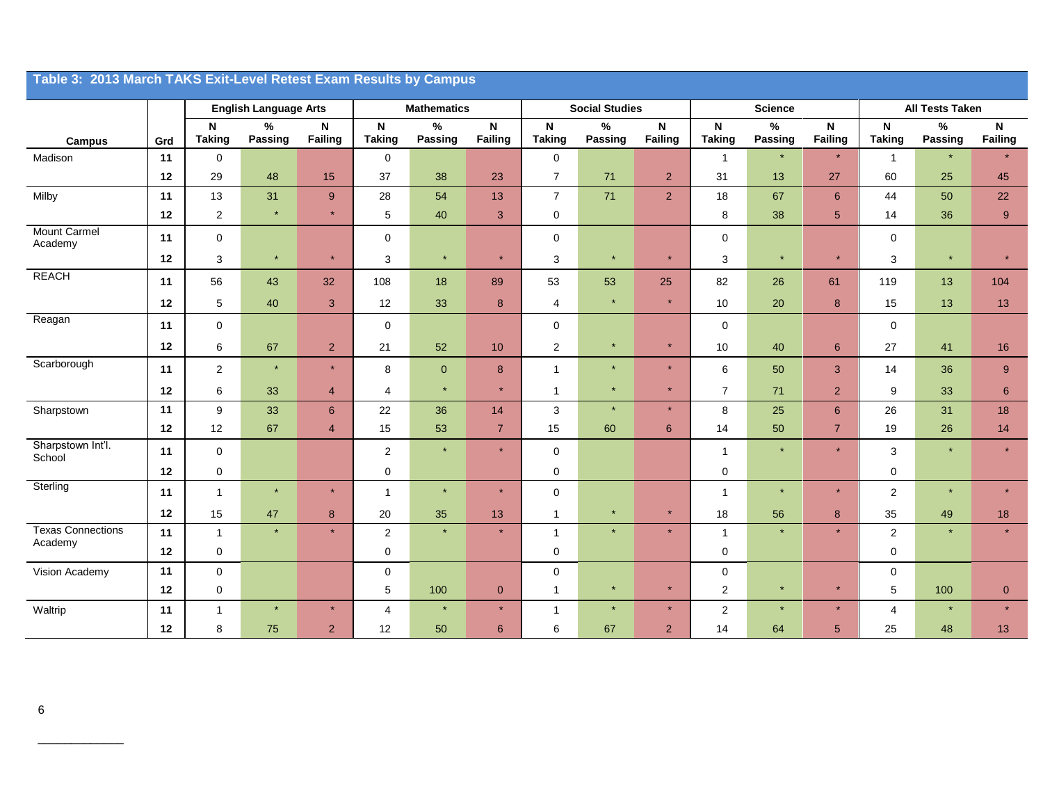|                                     | Table 3: 2013 March TAKS Exit-Level Retest Exam Results by Campus |                    |                              |                         |                    |                    |                         |                            |                       |                |                    |                |                         |                    |                 |                         |
|-------------------------------------|-------------------------------------------------------------------|--------------------|------------------------------|-------------------------|--------------------|--------------------|-------------------------|----------------------------|-----------------------|----------------|--------------------|----------------|-------------------------|--------------------|-----------------|-------------------------|
|                                     |                                                                   |                    | <b>English Language Arts</b> |                         |                    | <b>Mathematics</b> |                         |                            | <b>Social Studies</b> |                |                    | <b>Science</b> |                         |                    | All Tests Taken |                         |
| Campus                              | Grd                                                               | N<br><b>Taking</b> | $\%$<br>Passing              | $\mathsf{N}$<br>Failing | N<br><b>Taking</b> | $\%$<br>Passing    | $\mathsf{N}$<br>Failing | ${\sf N}$<br><b>Taking</b> | $\%$<br>Passing       | N<br>Failing   | N<br><b>Taking</b> | %<br>Passing   | $\mathsf{N}$<br>Failing | N<br><b>Taking</b> | $\%$<br>Passing | $\mathsf{N}$<br>Failing |
| Madison                             | 11                                                                | $\mathbf 0$        |                              |                         | $\mathbf 0$        |                    |                         | $\mathbf 0$                |                       |                | $\mathbf{1}$       |                | $\star$                 | $\mathbf{1}$       | $\star$         |                         |
|                                     | 12                                                                | 29                 | 48                           | 15                      | 37                 | 38                 | 23                      | $\overline{7}$             | 71                    | 2 <sup>2</sup> | 31                 | 13             | 27                      | 60                 | 25              | 45                      |
| Milby                               | 11                                                                | 13                 | 31                           | $9\,$                   | 28                 | 54                 | 13                      | $\overline{7}$             | 71                    | $\overline{2}$ | 18                 | 67             | $6\phantom{1}6$         | 44                 | 50              | 22                      |
|                                     | 12                                                                | $\mathbf 2$        | $\star$                      | $\star$                 | 5                  | 40                 | $\mathbf{3}$            | $\mathbf 0$                |                       |                | 8                  | 38             | $\sqrt{5}$              | 14                 | 36              | $9\,$                   |
| <b>Mount Carmel</b><br>Academy      | 11                                                                | $\mathbf 0$        |                              |                         | 0                  |                    |                         | $\mathbf 0$                |                       |                | $\mathbf 0$        |                |                         | $\mathbf 0$        |                 |                         |
|                                     | 12                                                                | $\mathbf{3}$       | $\star$                      | $\star$                 | 3                  | $\star$            | $\star$                 | 3                          | $\star$               | $\star$        | 3                  | $\star$        | $\star$                 | 3                  | $\star$         | $\star$                 |
| <b>REACH</b>                        | 11                                                                | 56                 | 43                           | 32                      | 108                | 18                 | 89                      | 53                         | 53                    | 25             | 82                 | 26             | 61                      | 119                | 13              | 104                     |
|                                     | 12                                                                | 5                  | 40                           | $\mathbf{3}$            | 12                 | 33                 | $\bf 8$                 | 4                          | $\star$               | $\star$        | $10$               | 20             | $\boldsymbol{8}$        | 15                 | 13              | 13                      |
| Reagan                              | 11                                                                | $\mathbf 0$        |                              |                         | $\mathbf 0$        |                    |                         | $\mathbf 0$                |                       |                | $\mathbf 0$        |                |                         | $\mathbf 0$        |                 |                         |
|                                     | 12                                                                | 6                  | 67                           | $\overline{2}$          | 21                 | 52                 | 10                      | $\overline{2}$             | $\star$               | $\star$        | 10                 | 40             | $6\phantom{1}6$         | 27                 | 41              | 16                      |
| Scarborough                         | 11                                                                | 2                  | $\star$                      | $\star$                 | 8                  | $\overline{0}$     | 8                       | $\mathbf{1}$               | $\star$               | $\star$        | 6                  | 50             | $\mathbf{3}$            | 14                 | 36              | 9                       |
|                                     | 12                                                                | 6                  | 33                           | $\overline{4}$          | $\overline{4}$     | $\star$            | $\star$                 | 1                          | $\star$               | $\star$        | $\overline{7}$     | 71             | $\overline{2}$          | 9                  | 33              | $6\phantom{1}6$         |
| Sharpstown                          | 11                                                                | 9                  | 33                           | $\boldsymbol{6}$        | 22                 | 36                 | 14                      | 3                          | $\star$               | $\star$        | 8                  | 25             | $6\phantom{1}$          | 26                 | 31              | 18                      |
|                                     | 12                                                                | 12                 | 67                           | $\overline{4}$          | 15                 | 53                 | $\overline{7}$          | 15                         | 60                    | $6\phantom{1}$ | 14                 | 50             | $\overline{7}$          | 19                 | 26              | 14                      |
| Sharpstown Int'l.<br>School         | 11                                                                | $\mathbf 0$        |                              |                         | $\overline{2}$     | $\star$            | $\star$                 | $\mathbf 0$                |                       |                | $\mathbf{1}$       | $\star$        |                         | 3                  | $\star$         | $\star$                 |
|                                     | 12                                                                | $\mathbf 0$        |                              |                         | $\mathbf 0$        |                    |                         | $\mathbf 0$                |                       |                | $\pmb{0}$          |                |                         | $\mathbf 0$        |                 |                         |
| Sterling                            | 11                                                                | $\mathbf{1}$       | $\star$                      | $\star$                 | $\mathbf{1}$       | $\star$            | $\star$                 | $\mathbf 0$                |                       |                | $\overline{1}$     | $\star$        | $\star$                 | $\overline{2}$     | $\star$         | $\star$                 |
|                                     | 12                                                                | 15                 | 47                           | $\bf 8$                 | 20                 | 35                 | 13                      | $\mathbf{1}$               | $\star$               | $\star$        | 18                 | 56             | $\boldsymbol{8}$        | 35                 | 49              | $18$                    |
| <b>Texas Connections</b><br>Academy | 11                                                                | $\mathbf{1}$       | $\star$                      | $\star$                 | $\overline{2}$     | $\star$            | $\star$                 | $\mathbf{1}$               | $\star$               | $\star$        | $\mathbf{1}$       | $\star$        | $\star$                 | 2                  | $\star$         | $\star$                 |
|                                     | 12                                                                | $\mathbf 0$        |                              |                         | 0                  |                    |                         | $\mathbf 0$                |                       |                | 0                  |                |                         | $\mathbf 0$        |                 |                         |
| Vision Academy                      | 11                                                                | $\mathbf 0$        |                              |                         | 0                  |                    |                         | $\mathbf 0$                |                       |                | 0                  |                |                         | $\mathbf 0$        |                 |                         |
|                                     | 12                                                                | $\mathsf 0$        |                              |                         | $\mathbf 5$        | 100                | $\pmb{0}$               | $\mathbf{1}$               | $\star$               | $\star$        | $\overline{c}$     | $\star$        | $\star$                 | $\sqrt{5}$         | 100             | $\mathbf 0$             |
| Waltrip                             | 11                                                                | $\mathbf{1}$       | $\star$                      | $\star$                 | $\overline{4}$     | $\star$            | $\star$                 | $\mathbf{1}$               | $\star$               | $\star$        | $\overline{2}$     | $\star$        | $\star$                 | 4                  | $\star$         | $\star$                 |
|                                     | 12                                                                | 8                  | 75                           | $\overline{2}$          | 12                 | 50                 | 6                       | 6                          | 67                    | $\overline{2}$ | 14                 | 64             | $5\phantom{1}$          | 25                 | 48              | 13                      |

\_\_\_\_\_\_\_\_\_\_\_\_\_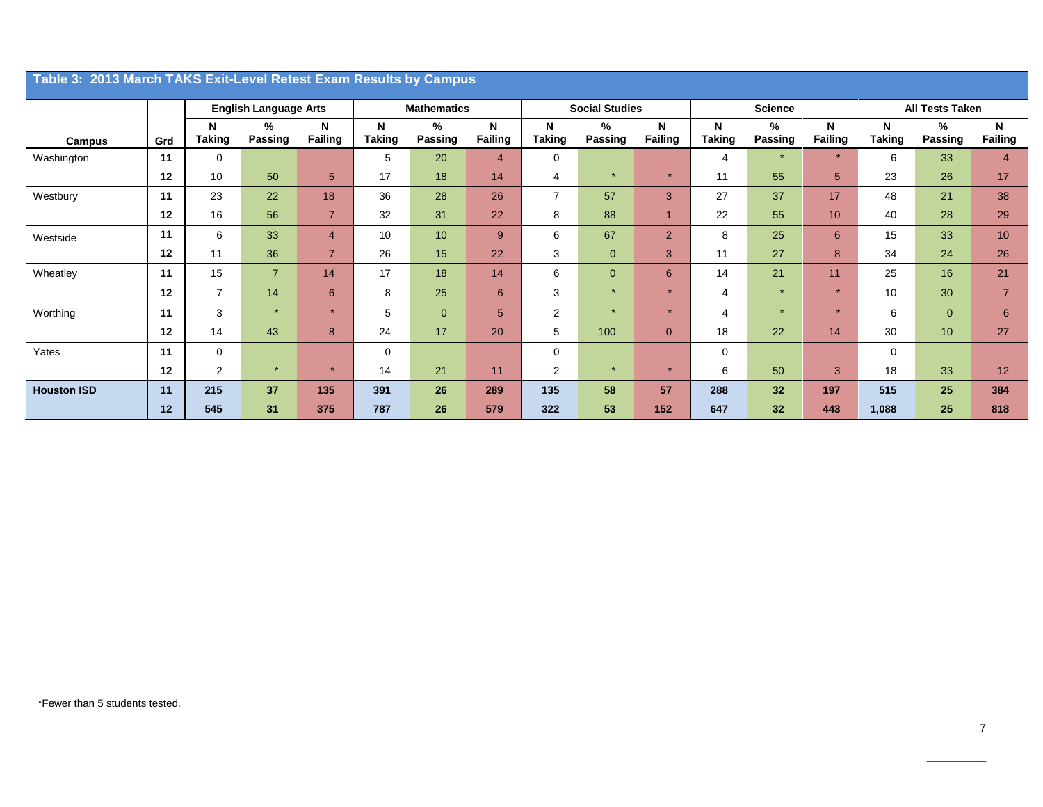| Table 3: 2013 March TAKS Exit-Level Retest Exam Results by Campus |     |                    |                              |                |                    |                     |                |                       |                |                     |                    |                     |              |                    |                        |                |
|-------------------------------------------------------------------|-----|--------------------|------------------------------|----------------|--------------------|---------------------|----------------|-----------------------|----------------|---------------------|--------------------|---------------------|--------------|--------------------|------------------------|----------------|
|                                                                   |     |                    | <b>English Language Arts</b> |                | <b>Mathematics</b> |                     |                | <b>Social Studies</b> |                |                     |                    | <b>Science</b>      |              |                    | <b>All Tests Taken</b> |                |
| Campus                                                            | Grd | N<br><b>Taking</b> | %<br>Passing                 | N<br>Failing   | N<br><b>Taking</b> | %<br><b>Passing</b> | N<br>Failing   | N<br><b>Taking</b>    | %<br>Passing   | N<br><b>Failing</b> | N<br><b>Taking</b> | %<br><b>Passing</b> | N<br>Failing | N<br><b>Taking</b> | $\%$<br>Passing        | N<br>Failing   |
| Washington                                                        | 11  | 0                  |                              |                | 5                  | 20                  | $\overline{4}$ | $\Omega$              |                |                     | 4                  | $\star$             | $\star$      | 6                  | 33                     | 4              |
|                                                                   | 12  | 10                 | 50                           | 5 <sup>5</sup> | 17                 | 18                  | 14             | $\overline{4}$        |                | $\star$             | 11                 | 55                  | 5            | 23                 | 26                     | 17             |
| Westbury                                                          | 11  | 23                 | 22                           | 18             | 36                 | 28                  | 26             | $\overline{7}$        | 57             | 3                   | 27                 | 37                  | 17           | 48                 | 21                     | 38             |
|                                                                   | 12  | 16                 | 56                           | $\overline{7}$ | 32                 | 31                  | 22             | 8                     | 88             | 1                   | 22                 | 55                  | 10           | 40                 | 28                     | 29             |
| Westside                                                          | 11  | 6                  | 33                           | $\overline{4}$ | 10                 | 10 <sup>1</sup>     | 9              | 6                     | 67             | $\overline{2}$      | 8                  | 25                  | 6            | 15                 | 33                     | 10             |
|                                                                   | 12  | 11                 | 36                           | $\overline{7}$ | 26                 | 15                  | 22             | 3                     | $\mathbf{0}$   | 3                   | 11                 | 27                  | 8            | 34                 | 24                     | 26             |
| Wheatley                                                          | 11  | 15                 | $\overline{7}$               | 14             | 17                 | 18                  | 14             | 6                     | $\overline{0}$ | 6                   | 14                 | 21                  | 11           | 25                 | 16                     | 21             |
|                                                                   | 12  | $\overline{7}$     | 14                           | 6              | 8                  | 25                  | 6              | 3                     | $\star$        | $\star$             | 4                  | $\star$             | $\star$      | 10                 | 30                     | $\overline{7}$ |
| Worthing                                                          | 11  | 3                  | $\star$                      | $\star$        | 5                  | $\mathbf{0}$        | 5              | $\overline{2}$        | $\star$        | $\star$             | $\overline{4}$     | $\star$             | $\star$      | 6                  | $\Omega$               | 6              |
|                                                                   | 12  | 14                 | 43                           | 8              | 24                 | 17                  | 20             | 5                     | 100            | $\overline{0}$      | 18                 | 22                  | 14           | 30                 | 10 <sup>°</sup>        | 27             |
| Yates                                                             | 11  | 0                  |                              |                | 0                  |                     |                | $\Omega$              |                |                     | 0                  |                     |              | $\Omega$           |                        |                |
|                                                                   | 12  | $\overline{2}$     | $\star$                      |                | 14                 | 21                  | 11             | $\overline{2}$        | $\star$        | $\star$             | 6                  | 50                  | 3            | 18                 | 33                     | 12             |
| <b>Houston ISD</b>                                                | 11  | 215                | 37                           | 135            | 391                | 26                  | 289            | 135                   | 58             | 57                  | 288                | 32                  | 197          | 515                | 25                     | 384            |
|                                                                   | 12  | 545                | 31                           | 375            | 787                | 26                  | 579            | 322                   | 53             | 152                 | 647                | 32                  | 443          | 1,088              | 25                     | 818            |

 $\overline{\phantom{a}}$  . The contract of the contract of the contract of the contract of the contract of the contract of the contract of the contract of the contract of the contract of the contract of the contract of the contract of